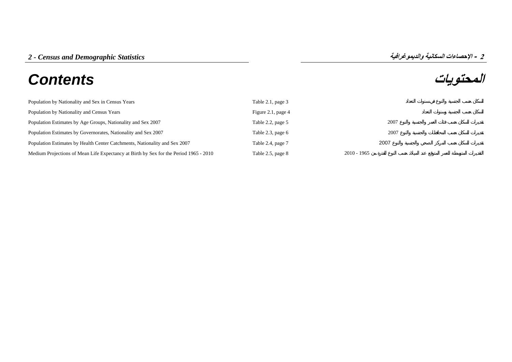# **المحتويات** *Contents*

| Population by Nationality and Sex in Census Years                                     | Table 2.1, page 3  |               |
|---------------------------------------------------------------------------------------|--------------------|---------------|
| Population by Nationality and Census Years                                            | Figure 2.1, page 4 |               |
| Population Estimates by Age Groups, Nationality and Sex 2007                          | Table 2.2, page 5  | 2007          |
| Population Estimates by Governorates, Nationality and Sex 2007                        | Table 2.3, page 6  | 2007          |
| Population Estimates by Health Center Catchments, Nationality and Sex 2007            | Table 2.4, page 7  | 2007          |
| Medium Projections of Mean Life Expectancy at Birth by Sex for the Period 1965 - 2010 | Table 2.5, page 8  | $2010 - 1965$ |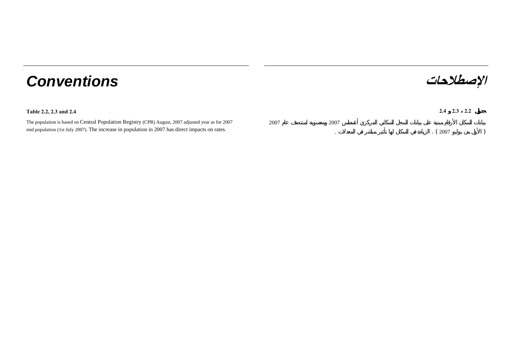## **الإصطلاحات** *Conventions*

### **Table 2.2, 2.3 and 2.4 2.4 2.3 2.2**

| The population is based on Central Population Registry (CPR) August, 2007 adjusted year as for 2007 |  |
|-----------------------------------------------------------------------------------------------------|--|
| mid population (1st July 2007). The increase in population in 2007 has direct impacts on rates.     |  |

2007

2007

.

. The contract of the contract of the contract of the contract of the contract of the contract of the contract of the contract of the contract of the contract of the contract of the contract of the contract of the contrac ( <sup>2007</sup> )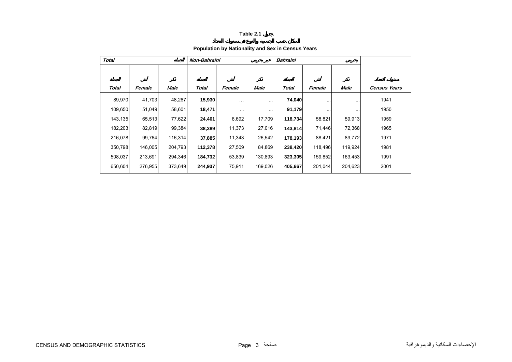#### **Population by Nationality and Sex in Census Years**

<span id="page-2-0"></span>

| <b>Total</b> |         |         | Non-Bahraini |                      |           | <b>Bahraini</b> |           |           |                     |
|--------------|---------|---------|--------------|----------------------|-----------|-----------------|-----------|-----------|---------------------|
|              |         |         |              |                      |           |                 |           |           |                     |
| Total        | Female  | Male    | Total        | Female               | Male      | Total           | Female    | Male      | <b>Census Years</b> |
| 89,970       | 41,703  | 48,267  | 15,930       | $\ddot{\phantom{0}}$ | $\ddotsc$ | 74,040          |           | $\cdots$  | 1941                |
| 109,650      | 51,049  | 58,601  | 18,471       | $\cdot$ .            | $\cdots$  | 91,179          | $\ddotsc$ | $\ddotsc$ | 1950                |
| 143,135      | 65,513  | 77,622  | 24,401       | 6,692                | 17,709    | 118,734         | 58,821    | 59,913    | 1959                |
| 182,203      | 82,819  | 99,384  | 38,389       | 11,373               | 27,016    | 143,814         | 71,446    | 72,368    | 1965                |
| 216,078      | 99,764  | 116,314 | 37,885       | 11,343               | 26,542    | 178,193         | 88,421    | 89,772    | 1971                |
| 350,798      | 146,005 | 204,793 | 112,378      | 27,509               | 84,869    | 238,420         | 118,496   | 119,924   | 1981                |
| 508,037      | 213,691 | 294,346 | 184,732      | 53,839               | 130,893   | 323,305         | 159,852   | 163,453   | 1991                |
| 650,604      | 276,955 | 373,649 | 244,937      | 75,911               | 169,026   | 405,667         | 201,044   | 204,623   | 2001                |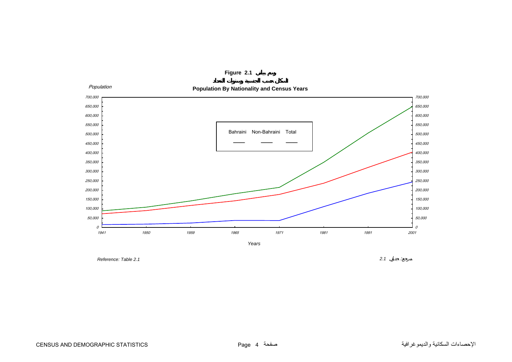<span id="page-3-0"></span>

**Figure 2.1**

 *Reference: Table 2.1*

*2.1* :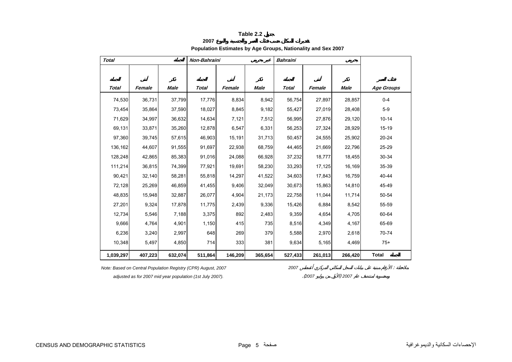#### **2007**

#### **Population Estimates by Age Groups, Nationality and Sex 2007**

<span id="page-4-0"></span>

|           |         |         |              |         |         | <b>Bahraini</b> |         |         |                   |
|-----------|---------|---------|--------------|---------|---------|-----------------|---------|---------|-------------------|
|           |         |         |              |         |         |                 |         |         |                   |
| Total     | Female  | Male    | <b>Total</b> | Female  | Male    | Total           | Female  | Male    | <b>Age Groups</b> |
| 74,530    | 36,731  | 37,799  | 17,776       | 8,834   | 8,942   | 56,754          | 27,897  | 28,857  | $0 - 4$           |
| 73,454    | 35,864  | 37,590  | 18,027       | 8,845   | 9,182   | 55,427          | 27,019  | 28,408  | $5-9$             |
| 71,629    | 34,997  | 36,632  | 14,634       | 7,121   | 7,512   | 56,995          | 27,876  | 29,120  | $10 - 14$         |
| 69,131    | 33,871  | 35,260  | 12,878       | 6,547   | 6,331   | 56,253          | 27,324  | 28,929  | $15 - 19$         |
| 97,360    | 39,745  | 57,615  | 46,903       | 15,191  | 31,713  | 50,457          | 24,555  | 25,902  | $20 - 24$         |
| 136,162   | 44,607  | 91,555  | 91,697       | 22,938  | 68,759  | 44,465          | 21,669  | 22,796  | 25-29             |
| 128,248   | 42,865  | 85,383  | 91,016       | 24,088  | 66,928  | 37,232          | 18,777  | 18,455  | 30-34             |
| 111,214   | 36,815  | 74,399  | 77,921       | 19,691  | 58,230  | 33,293          | 17,125  | 16,169  | 35-39             |
| 90,421    | 32,140  | 58,281  | 55,818       | 14,297  | 41,522  | 34,603          | 17,843  | 16,759  | 40-44             |
| 72,128    | 25,269  | 46,859  | 41,455       | 9,406   | 32,049  | 30,673          | 15,863  | 14,810  | 45-49             |
| 48,835    | 15,948  | 32,887  | 26,077       | 4,904   | 21,173  | 22,758          | 11,044  | 11,714  | 50-54             |
| 27,201    | 9,324   | 17,878  | 11,775       | 2,439   | 9,336   | 15,426          | 6,884   | 8,542   | 55-59             |
| 12,734    | 5,546   | 7,188   | 3,375        | 892     | 2,483   | 9,359           | 4,654   | 4,705   | 60-64             |
| 9,666     | 4,764   | 4,901   | 1,150        | 415     | 735     | 8,516           | 4,349   | 4,167   | 65-69             |
| 6,236     | 3,240   | 2,997   | 648          | 269     | 379     | 5,588           | 2,970   | 2,618   | 70-74             |
| 10,348    | 5,497   | 4,850   | 714          | 333     | 381     | 9,634           | 5,165   | 4,469   | $75+$             |
| 1,039,297 | 407,223 | 632,074 | 511,864      | 146,209 | 365,654 | 527,433         | 261,013 | 266,420 | <b>Total</b>      |

 *adjusted as for 2007 mid year population (1st July 2007).* .(*<sup>2007</sup>* ) *<sup>2007</sup>*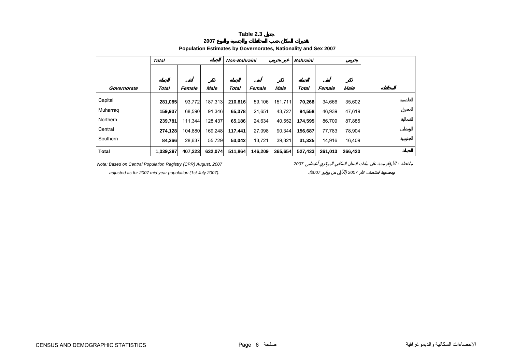**2007**

|  | Population Estimates by Governorates, Nationality and Sex 2007 |  |
|--|----------------------------------------------------------------|--|
|  |                                                                |  |

<span id="page-5-0"></span>

|             | <b>Total</b> |         |         | Non-Bahraini |         |         | <b>Bahraini</b> |         |         |  |
|-------------|--------------|---------|---------|--------------|---------|---------|-----------------|---------|---------|--|
|             |              |         |         |              |         |         |                 |         |         |  |
|             |              |         |         |              |         |         |                 |         |         |  |
| Governorate | <b>Total</b> | Female  | Male    | Total        | Female  | Male    | <b>Total</b>    | Female  | Male    |  |
|             |              |         |         |              |         |         |                 |         |         |  |
| Capital     | 281,085      | 93,772  | 187,313 | 210,816      | 59,106  | 151,711 | 70,268          | 34,666  | 35,602  |  |
| Muharrag    | 159,937      | 68,590  | 91,346  | 65,378       | 21,651  | 43,727  | 94,558          | 46,939  | 47,619  |  |
| Northern    | 239,781      | 111,344 | 128,437 | 65,186       | 24,634  | 40,552  | 174,595         | 86,709  | 87,885  |  |
| Central     | 274,128      | 104,880 | 169,248 | 117,441      | 27,098  | 90,344  | 156,687         | 77,783  | 78,904  |  |
| Southern    | 84,366       | 28,637  | 55,729  | 53,042       | 13,721  | 39,321  | 31,325          | 14,916  | 16,409  |  |
| Total       | 1,039,297    | 407,223 | 632,074 | 511,864      | 146,209 | 365,654 | 527,433         | 261,013 | 266,420 |  |

*Note: Based on Central Population Registry (CPR) August, 2007* 2007 2007 2007

 *adjusted as for 2007 mid year population (1st July 2007).* .(*<sup>2007</sup>* ) *<sup>2007</sup>*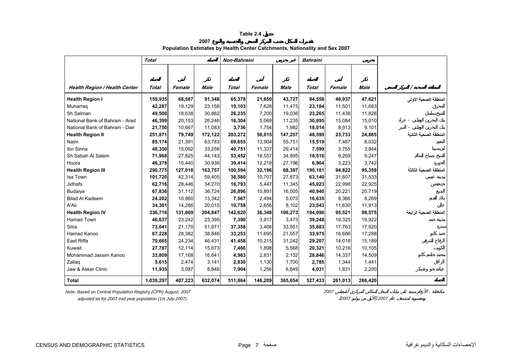**2007**

#### **Population Estimates by Health Center Catchments, Nationality and Sex 2007**

<span id="page-6-0"></span>

|                                      | <b>Total</b> |         |             | Non-Bahraini |         |             | <b>Bahraini</b> |         |             |                        |
|--------------------------------------|--------------|---------|-------------|--------------|---------|-------------|-----------------|---------|-------------|------------------------|
|                                      |              |         |             |              |         |             |                 |         |             |                        |
|                                      |              |         |             |              |         |             |                 |         |             |                        |
| <b>Health Region / Health Center</b> | <b>Total</b> | Female  | <b>Male</b> | <b>Total</b> | Female  | <b>Male</b> | <b>Total</b>    | Female  | <b>Male</b> | Ϊ                      |
| <b>Health Region I</b>               | 159,935      | 68,587  | 91,348      | 65,378       | 21,650  | 43,727      | 94,558          | 46,937  | 47,621      | المنطقة الصحية الأولى  |
| Muharraq                             | 42,287       | 19,129  | 23,158      | 19,103       | 7,628   | 11,475      | 23,184          | 11,501  | 11,683      |                        |
| Sh.Salman                            | 49,500       | 18,638  | 30,862      | 26,235       | 7,200   | 19,036      | 23,265          | 11,438  | 11,826      |                        |
| National Bank of Bahrain - Arad      | 46,399       | 20,153  | 26,246      | 16,304       | 5,069   | 11,235      | 30,095          | 15,084  | 15,010      |                        |
| National Bank of Bahrain - Dair      | 21,750       | 10,667  | 11,083      | 3,736        | 1,754   | 1,982       | 18,014          | 8,913   | 9,101       |                        |
| <b>Health Region II</b>              | 251,871      | 79,749  | 172,122     | 203,272      | 56,015  | 147,257     | 48,599          | 23,733  | 24,865      | المنطقة الصحبة الثانية |
| Naim                                 | 85,174       | 21,391  | 63,783      | 69,655       | 13,904  | 55,751      | 15,519          | 7,487   | 8,032       |                        |
| Ibn Sinna                            | 48,350       | 15,092  | 33,258      | 40,751       | 11,337  | 29,414      | 7,599           | 3,755   | 3,844       |                        |
| Sh.Sabah Al Salem                    | 71,968       | 27,825  | 44,143      | 53,452       | 18,557  | 34,895      | 18,516          | 9,269   | 9,247       |                        |
| Hoora                                | 46,378       | 15,440  | 30,938      | 39,414       | 12,218  | 27,196      | 6,964           | 3,223   | 3,742       |                        |
| <b>Health Region III</b>             | 290,775      | 127,018 | 163,757     | 100,594      | 32,196  | 68,397      | 190,181         | 94,822  | 95,359      | المنطقة الصحبة الثالثة |
| Isa Town                             | 101,720      | 42,314  | 59,405      | 38,580       | 10,707  | 27,873      | 63,140          | 31,607  | 31,533      |                        |
| Jidhafs                              | 62,716       | 28,446  | 34,270      | 16,793       | 5,447   | 11,345      | 45,923          | 22,998  | 22,925      |                        |
| Budaiya                              | 67,836       | 31,112  | 36,724      | 26,896       | 10,891  | 16,005      | 40,940          | 20,221  | 20,719      |                        |
| <b>Bilad Al Kadeem</b>               | 24,202       | 10,860  | 13,342      | 7,567        | 2,494   | 5,073       | 16,635          | 8,366   | 8,269       |                        |
| A'Ali                                | 34,301       | 14,286  | 20,015      | 10,758       | 2,656   | 8,102       | 23,543          | 11,630  | 11,913      |                        |
| <b>Health Region IV</b>              | 336,716      | 131,869 | 204,847     | 142,620      | 36,348  | 106,273     | 194,096         | 95,521  | 98,575      | المنطقة الصحية الرابعة |
| <b>Hamad Town</b>                    | 46,637       | 23,242  | 23,395      | 7,390        | 3,917   | 3,473       | 39,248          | 19,325  | 19,922      |                        |
| Sitra                                | 73,041       | 21,170  | 51,871      | 37,358       | 3,406   | 33,951      | 35,683          | 17,763  | 17,920      |                        |
| Hamad Kanoo                          | 67,228       | 28,382  | 38,846      | 33,253       | 11,695  | 21,557      | 33,975          | 16,686  | 17,288      |                        |
| East Riffa                           | 70,665       | 24,234  | 46,431      | 41,458       | 10,215  | 31,242      | 29,207          | 14,018  | 15,189      |                        |
| Kuwait                               | 27,787       | 12,114  | 15,673      | 7,466        | 1,898   | 5,568       | 20,321          | 10,216  | 10,105      |                        |
| Mohammad Jassim Kanoo                | 33,809       | 17,168  | 16,641      | 4,963        | 2,831   | 2,132       | 28,846          | 14,337  | 14,509      |                        |
| Zallaq                               | 5,615        | 2,474   | 3,141       | 2,830        | 1,130   | 1,700       | 2,785           | 1,344   | 1,441       |                        |
| Jaw & Asker Clinic                   | 11,935       | 3,087   | 8,848       | 7,904        | 1,256   | 6,649       | 4,031           | 1,831   | 2,200       |                        |
| <b>Total</b>                         | 1,039,297    | 407,223 | 632,074     | 511,864      | 146,209 | 365,654     | 527,433         | 261,013 | 266,420     |                        |

*Note: Based on Central Population Registry (CPR) August, 2007 2007* :  *adjusted as for 2007 mid year population (1st July 2007).* .(*<sup>2007</sup>* ) *<sup>2007</sup>*